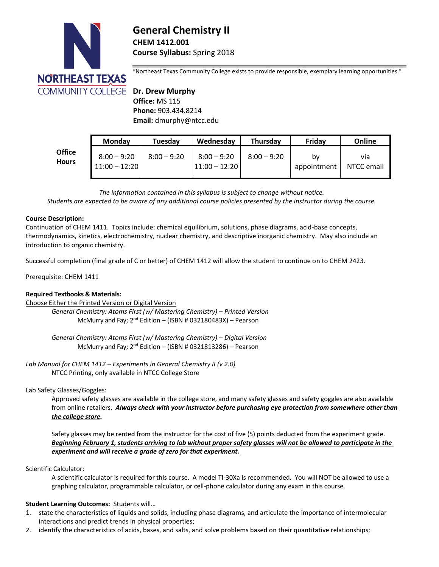

# **General Chemistry II CHEM 1412.001 Course Syllabus:** Spring 2018

"Northeast Texas Community College exists to provide responsible, exemplary learning opportunities."

 **Office:** MS 115  **Phone:** 903.434.8214  **Email:** dmurphy@ntcc.edu

|                               | <b>Monday</b>                    | Tuesdav       | Wednesday                        | Thursday      | Friday            | Online            |
|-------------------------------|----------------------------------|---------------|----------------------------------|---------------|-------------------|-------------------|
| <b>Office</b><br><b>Hours</b> | $8:00 - 9:20$<br>$11:00 - 12:20$ | $8:00 - 9:20$ | $8:00 - 9:20$<br>$11:00 - 12:20$ | $8:00 - 9:20$ | bv<br>appointment | via<br>NTCC email |

*The information contained in this syllabus is subject to change without notice. Students are expected to be aware of any additional course policies presented by the instructor during the course.*

## **Course Description:**

Continuation of CHEM 1411. Topics include: chemical equilibrium, solutions, phase diagrams, acid-base concepts, thermodynamics, kinetics, electrochemistry, nuclear chemistry, and descriptive inorganic chemistry. May also include an introduction to organic chemistry.

Successful completion (final grade of C or better) of CHEM 1412 will allow the student to continue on to CHEM 2423.

Prerequisite: CHEM 1411

# **Required Textbooks & Materials:**

Choose Either the Printed Version or Digital Version

*General Chemistry: Atoms First (w/ Mastering Chemistry) – Printed Version* McMurry and Fay; 2<sup>nd</sup> Edition - (ISBN #032180483X) - Pearson

*General Chemistry: Atoms First (w/ Mastering Chemistry) – Digital Version* McMurry and Fay; 2<sup>nd</sup> Edition - (ISBN #0321813286) - Pearson

*Lab Manual for CHEM 1412 – Experiments in General Chemistry II (v 2.0)* NTCC Printing, only available in NTCC College Store

# Lab Safety Glasses/Goggles:

Approved safety glasses are available in the college store, and many safety glasses and safety goggles are also available from online retailers. *Always check with your instructor before purchasing eye protection from somewhere other than the college store.* 

Safety glasses may be rented from the instructor for the cost of five (5) points deducted from the experiment grade. *Beginning February 1, students arriving to lab without proper safety glasses will not be allowed to participate in the experiment and will receive a grade of zero for that experiment.*

#### Scientific Calculator:

A scientific calculator is required for this course. A model TI-30Xa is recommended. You will NOT be allowed to use a graphing calculator, programmable calculator, or cell-phone calculator during any exam in this course.

# **Student Learning Outcomes:** Students will…

- 1. state the characteristics of liquids and solids, including phase diagrams, and articulate the importance of intermolecular interactions and predict trends in physical properties;
- 2. identify the characteristics of acids, bases, and salts, and solve problems based on their quantitative relationships;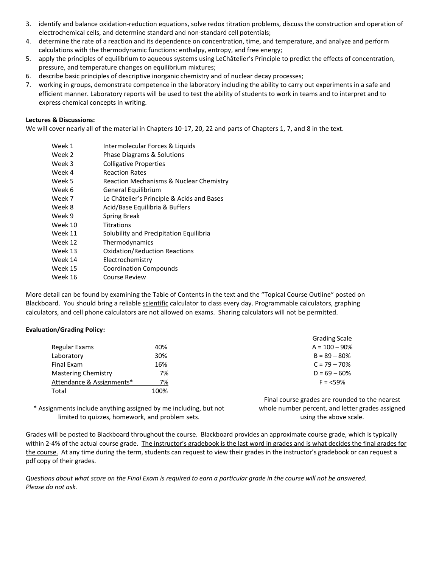- 3. identify and balance oxidation-reduction equations, solve redox titration problems, discuss the construction and operation of electrochemical cells, and determine standard and non‐standard cell potentials;
- 4. determine the rate of a reaction and its dependence on concentration, time, and temperature, and analyze and perform calculations with the thermodynamic functions: enthalpy, entropy, and free energy;
- 5. apply the principles of equilibrium to aqueous systems using LeChâtelier's Principle to predict the effects of concentration, pressure, and temperature changes on equilibrium mixtures;
- 6. describe basic principles of descriptive inorganic chemistry and of nuclear decay processes;
- 7. working in groups, demonstrate competence in the laboratory including the ability to carry out experiments in a safe and efficient manner. Laboratory reports will be used to test the ability of students to work in teams and to interpret and to express chemical concepts in writing.

#### **Lectures & Discussions:**

We will cover nearly all of the material in Chapters 10-17, 20, 22 and parts of Chapters 1, 7, and 8 in the text.

- Week 1 Intermolecular Forces & Liquids
- Week 2 Phase Diagrams & Solutions
- Week 3 Colligative Properties
- Week 4 Reaction Rates
- Week 5 Reaction Mechanisms & Nuclear Chemistry
- Week 6 **General Equilibrium**
- Week 7 Le Châtelier's Principle & Acids and Bases
- Week 8 Acid/Base Equilibria & Buffers
- Week 9 Spring Break
- Week 10 Titrations
- Week 11 Solubility and Precipitation Equilibria
- Week 12 Thermodynamics
- Week 13 Oxidation/Reduction Reactions
- Week 14 Electrochemistry
- Week 15 Coordination Compounds
- Week 16 Course Review

More detail can be found by examining the Table of Contents in the text and the "Topical Course Outline" posted on Blackboard. You should bring a reliable scientific calculator to class every day. Programmable calculators, graphing calculators, and cell phone calculators are not allowed on exams. Sharing calculators will not be permitted.

# **Evaluation/Grading Policy:**

|                            |      | <b>Grading Scale</b> |
|----------------------------|------|----------------------|
| Regular Exams              | 40%  | $A = 100 - 90\%$     |
| Laboratory                 | 30%  | $B = 89 - 80%$       |
| Final Exam                 | 16%  | $C = 79 - 70\%$      |
| <b>Mastering Chemistry</b> | 7%   | $D = 69 - 60%$       |
| Attendance & Assignments*  | 7%   | $F = 59%$            |
| Total                      | 100% |                      |

\* Assignments include anything assigned by me including, but not limited to quizzes, homework, and problem sets.

Final course grades are rounded to the nearest whole number percent, and letter grades assigned using the above scale.

Grades will be posted to Blackboard throughout the course. Blackboard provides an approximate course grade, which is typically within 2-4% of the actual course grade. The instructor's gradebook is the last word in grades and is what decides the final grades for the course. At any time during the term, students can request to view their grades in the instructor's gradebook or can request a pdf copy of their grades.

*Questions about what score on the Final Exam is required to earn a particular grade in the course will not be answered. Please do not ask.*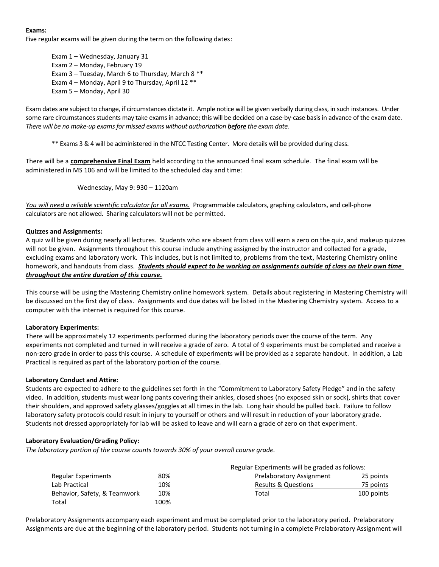## **Exams:**

Five regular exams will be given during the term on the following dates:

Exam 1 – Wednesday, January 31 Exam 2 – Monday, February 19 Exam 3 – Tuesday, March 6 to Thursday, March 8 \*\* Exam 4 – Monday, April 9 to Thursday, April 12 \*\* Exam 5 – Monday, April 30

Exam dates are subject to change, if circumstances dictate it. Ample notice will be given verbally during class, in such instances. Under some rare circumstances students may take exams in advance; this will be decided on a case-by-case basis in advance of the exam date. *There will be no make-up exams for missed exams without authorization before the exam date.*

\*\* Exams 3 & 4 will be administered in the NTCC Testing Center. More details will be provided during class.

There will be a **comprehensive Final Exam** held according to the announced final exam schedule. The final exam will be administered in MS 106 and will be limited to the scheduled day and time:

Wednesday, May 9: 930 – 1120am

*You will need a reliable scientific calculator for all exams.* Programmable calculators, graphing calculators, and cell-phone calculators are not allowed. Sharing calculators will not be permitted.

#### **Quizzes and Assignments:**

A quiz will be given during nearly all lectures. Students who are absent from class will earn a zero on the quiz, and makeup quizzes will not be given. Assignments throughout this course include anything assigned by the instructor and collected for a grade, excluding exams and laboratory work. This includes, but is not limited to, problems from the text, Mastering Chemistry online homework, and handouts from class. *Students should expect to be working on assignments outside of class on their own time throughout the entire duration of this course.*

This course will be using the Mastering Chemistry online homework system. Details about registering in Mastering Chemistry will be discussed on the first day of class. Assignments and due dates will be listed in the Mastering Chemistry system. Access to a computer with the internet is required for this course.

#### **Laboratory Experiments:**

There will be approximately 12 experiments performed during the laboratory periods over the course of the term. Any experiments not completed and turned in will receive a grade of zero. A total of 9 experiments must be completed and receive a non-zero grade in order to pass this course. A schedule of experiments will be provided as a separate handout. In addition, a Lab Practical is required as part of the laboratory portion of the course.

#### **Laboratory Conduct and Attire:**

Students are expected to adhere to the guidelines set forth in the "Commitment to Laboratory Safety Pledge" and in the safety video. In addition, students must wear long pants covering their ankles, closed shoes (no exposed skin or sock), shirts that cover their shoulders, and approved safety glasses/goggles at all times in the lab. Long hair should be pulled back. Failure to follow laboratory safety protocols could result in injury to yourself or others and will result in reduction of your laboratory grade. Students not dressed appropriately for lab will be asked to leave and will earn a grade of zero on that experiment.

# **Laboratory Evaluation/Grading Policy:**

*The laboratory portion of the course counts towards 30% of your overall course grade.*

|                              | Regular Experiments will be graded as follows: |                                |            |  |
|------------------------------|------------------------------------------------|--------------------------------|------------|--|
| Regular Experiments          | 80%                                            | Prelaboratory Assignment       | 25 points  |  |
| Lab Practical                | 10%                                            | <b>Results &amp; Questions</b> | 75 points  |  |
| Behavior, Safety, & Teamwork | 10%                                            | Total                          | 100 points |  |
| Total                        | 100%                                           |                                |            |  |

Prelaboratory Assignments accompany each experiment and must be completed prior to the laboratory period. Prelaboratory Assignments are due at the beginning of the laboratory period. Students not turning in a complete Prelaboratory Assignment will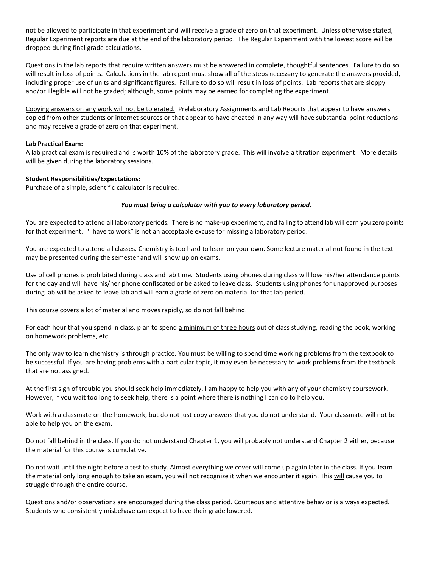not be allowed to participate in that experiment and will receive a grade of zero on that experiment. Unless otherwise stated, Regular Experiment reports are due at the end of the laboratory period. The Regular Experiment with the lowest score will be dropped during final grade calculations.

Questions in the lab reports that require written answers must be answered in complete, thoughtful sentences. Failure to do so will result in loss of points. Calculations in the lab report must show all of the steps necessary to generate the answers provided, including proper use of units and significant figures. Failure to do so will result in loss of points. Lab reports that are sloppy and/or illegible will not be graded; although, some points may be earned for completing the experiment.

Copying answers on any work will not be tolerated. Prelaboratory Assignments and Lab Reports that appear to have answers copied from other students or internet sources or that appear to have cheated in any way will have substantial point reductions and may receive a grade of zero on that experiment.

## **Lab Practical Exam:**

A lab practical exam is required and is worth 10% of the laboratory grade. This will involve a titration experiment. More details will be given during the laboratory sessions.

## **Student Responsibilities/Expectations:**

Purchase of a simple, scientific calculator is required.

## *You must bring a calculator with you to every laboratory period.*

You are expected to attend all laboratory periods. There is no make-up experiment, and failing to attend lab will earn you zero points for that experiment. "I have to work" is not an acceptable excuse for missing a laboratory period.

You are expected to attend all classes. Chemistry is too hard to learn on your own. Some lecture material not found in the text may be presented during the semester and will show up on exams.

Use of cell phones is prohibited during class and lab time. Students using phones during class will lose his/her attendance points for the day and will have his/her phone confiscated or be asked to leave class. Students using phones for unapproved purposes during lab will be asked to leave lab and will earn a grade of zero on material for that lab period.

This course covers a lot of material and moves rapidly, so do not fall behind.

For each hour that you spend in class, plan to spend a minimum of three hours out of class studying, reading the book, working on homework problems, etc.

The only way to learn chemistry is through practice. You must be willing to spend time working problems from the textbook to be successful. If you are having problems with a particular topic, it may even be necessary to work problems from the textbook that are not assigned.

At the first sign of trouble you should seek help immediately. I am happy to help you with any of your chemistry coursework. However, if you wait too long to seek help, there is a point where there is nothing I can do to help you.

Work with a classmate on the homework, but do not just copy answers that you do not understand. Your classmate will not be able to help you on the exam.

Do not fall behind in the class. If you do not understand Chapter 1, you will probably not understand Chapter 2 either, because the material for this course is cumulative.

Do not wait until the night before a test to study. Almost everything we cover will come up again later in the class. If you learn the material only long enough to take an exam, you will not recognize it when we encounter it again. This will cause you to struggle through the entire course.

Questions and/or observations are encouraged during the class period. Courteous and attentive behavior is always expected. Students who consistently misbehave can expect to have their grade lowered.